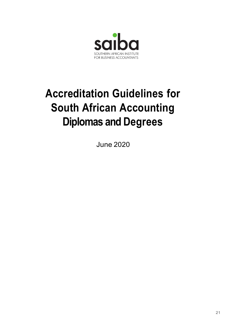

# Accreditation Guidelines for South African Accounting Diplomas and Degrees

June 2020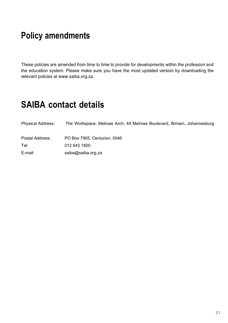# Policy amendments

 These policies are amended from time to time to provide for developments within the profession and the education system. Please make sure you have the most updated version by downloading the relevant policies at www.saiba.org.za.

# SAIBA contact details

| <b>Physical Address:</b> | The Workspace, Melrose Arch, 44 Melrose Boulevard, Birnam, Johannesburg |
|--------------------------|-------------------------------------------------------------------------|
| Postal Address:          | PO Box 7905, Centurion, 0046                                            |
| Tel:                     | 012 643 1800                                                            |
| E-mail:                  | saiba@saiba.org.za                                                      |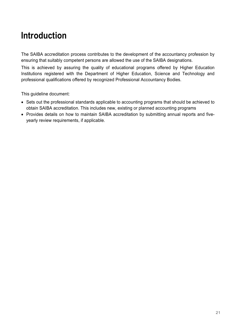# Introduction

The SAIBA accreditation process contributes to the development of the accountancy profession by ensuring that suitably competent persons are allowed the use of the SAIBA designations.

This is achieved by assuring the quality of educational programs offered by Higher Education Institutions registered with the Department of Higher Education, Science and Technology and professional qualifications offered by recognized Professional Accountancy Bodies.

This guideline document:

- Sets out the professional standards applicable to accounting programs that should be achieved to obtain SAIBA accreditation. This includes new, existing or planned accounting programs
- Provides details on how to maintain SAIBA accreditation by submitting annual reports and fiveyearly review requirements, if applicable.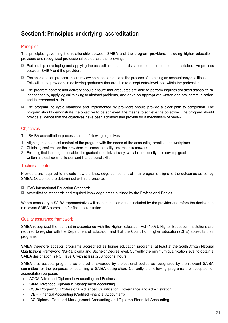# Section 1: Principles underlying accreditation

#### **Principles**

The principles governing the relationship between SAIBA and the program providers, including higher education providers and recognized professional bodies, are the following:

- Partnership: developing and applying the accreditation standards should be implemented as a collaborative process between SAIBA and the providers
- The accreditation process should review both the content and the process of obtaining an accountancy qualification. This will guide providers in delivering graduates that are able to accept entry-level jobs within the profession
- The program content and delivery should ensure that graduates are able to perform inquiries and critical analysis, think independently, apply logical thinking to abstract problems, and develop appropriate written and oral communication and interpersonal skills
- The program life cycle managed and implemented by providers should provide a clear path to completion. The program should demonstrate the objective to be achieved, the means to achieve the objective. The program should provide evidence that the objectives have been achieved and provide for a mechanism of review.

#### **Objectives**

The SAIBA accreditation process has the following objectives:

- 1. Aligning the technical content of the program with the needs of the accounting practice and workplace
- 2. Obtaining confirmation that providers implement a quality assurance framework
- 3. Ensuring that the program enables the graduate to think critically, work independently, and develop good written and oral communication and interpersonal skills

#### Technical content

Providers are required to indicate how the knowledge component of their programs aligns to the outcomes as set by SAIBA. Outcomes are determined with reference to:

- **IEAC International Education Standards**
- Accreditation standards and required knowledge areas outlined by the Professional Bodies

Where necessary a SAIBA representative will assess the content as included by the provider and refers the decision to a relevant SAIBA committee for final accreditation

#### Quality assurance framework

SAIBA recognized the fact that in accordance with the Higher Education Act (1997), Higher Education Institutions are required to register with the Department of Education and that the Council on Higher Education (CHE) accredits their programs.

SAIBA therefore accepts programs accredited as higher education programs, at least at the South African National Qualifications Framework (NQF) Diploma and Bachelor Degree level. Currently the minimum qualification level to obtain a SAIBA designation is NQF level 6 with at least 280 notional hours.

SAIBA also accepts programs as offered or awarded by professional bodies as recognized by the relevant SAIBA committee for the purposes of obtaining a SAIBA designation. Currently the following programs are accepted for accreditation purposes:

- ACCA Advanced Diploma in Accounting and Business
- CIMA Advanced Diploma in Management Accounting
- CSSA Program 3: Professional Advanced Qualification: Governance and Administration
- ICB Financial Accounting (Certified Financial Accountant)
- IAC Diploma Cost and Management Accounting and Diploma Financial Accounting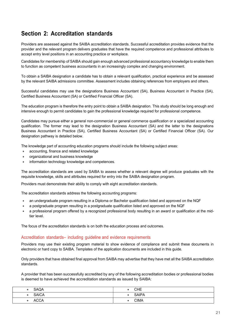# Section 2: Accreditation standards

Providers are assessed against the SAIBA accreditation standards. Successful accreditation provides evidence that the provider and the relevant program delivers graduates that have the required competence and professional attributes to accept entry level positions in an accounting practice or workplace.

Candidates for membership of SAIBA should gain enough advanced professional accountancy knowledge to enable them to function as competent business accountants in an increasingly complex and changing environment.

To obtain a SAIBA designation a candidate has to obtain a relevant qualification, practical experience and be assessed by the relevant SAIBA admissions committee. Assessment includes obtaining references from employers and others.

Successful candidates may use the designations Business Accountant (SA), Business Accountant in Practice (SA), Certified Business Accountant (SA) or Certified Financial Officer (SA).

The education program is therefore the entry point to obtain a SAIBA designation. This study should be long enough and intensive enough to permit candidates to gain the professional knowledge required for professional competence.

Candidates may pursue either a general non-commercial or general commerce qualification or a specialized accounting qualification. The former may lead to the designation Business Accountant (SA) and the latter to the designations Business Accountant in Practice (SA), Certified Business Accountant (SA) or Certified Financial Officer (SA). Our designation pathway is detailed below.

The knowledge part of accounting education programs should include the following subject areas:

- accounting, finance and related knowledge
- organizational and business knowledge
- information technology knowledge and competences.

The accreditation standards are used by SAIBA to assess whether a relevant degree will produce graduates with the requisite knowledge, skills and attributes required for entry into the SAIBA designation program.

Providers must demonstrate their ability to comply with eight accreditation standards.

The accreditation standards address the following accounting programs:

- an undergraduate program resulting in a Diploma or Bachelor qualification listed and approved on the NQF
- a postgraduate program resulting in a postgraduate qualification listed and approved on the NQF
- a professional program offered by a recognized professional body resulting in an award or qualification at the midtier level.

The focus of the accreditation standards is on both the education process and outcomes.

#### Accreditation standards– including guideline and evidence requirements

Providers may use their existing program material to show evidence of compliance and submit these documents in electronic or hard copy to SAIBA. Templates of the application documents are included in this guide.

Only providers that have obtained final approval from SAIBA may advertise that they have met all the SAIBA accreditation standards.

A provider that has been successfully accredited by any of the following accreditation bodies or professional bodies is deemed to have achieved the accreditation standards as issued by SAIBA:

| <b>SAQA</b>  | <b>CHE</b><br>٠           |
|--------------|---------------------------|
| <b>SAICA</b> | <b>SAIPA</b><br>$\bullet$ |
| <b>ACCA</b>  | <b>CIMA</b><br>٠          |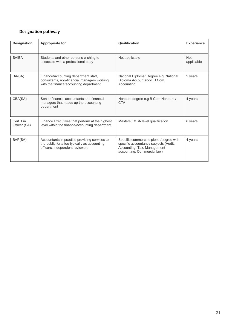## Designation pathway

| <b>Designation</b>         | <b>Appropriate for</b>                                                                                                           | Qualification                                                                                                                                | <b>Experience</b>        |
|----------------------------|----------------------------------------------------------------------------------------------------------------------------------|----------------------------------------------------------------------------------------------------------------------------------------------|--------------------------|
| <b>SAIBA</b>               | Students and other persons wishing to<br>associate with a professional body                                                      | Not applicable                                                                                                                               | <b>Not</b><br>applicable |
| BA(SA)                     | Finance/Accounting department staff,<br>consultants, non-financial managers working<br>with the finance/accounting department    | National Diploma/ Degree e.g. National<br>Diploma Accountancy, B Com<br>Accounting                                                           | 2 years                  |
| CBA(SA)                    | Senior financial accountants and financial<br>managers that heads up the accounting<br>department                                | Honours degree e.g B Com Honours /<br><b>CTA</b>                                                                                             | 4 years                  |
| Cert. Fin.<br>Officer (SA) | Finance Executives that perform at the highest<br>level within the finance/accounting department                                 | Masters / MBA level qualification                                                                                                            | 8 years                  |
| BAP(SA)                    | Accountants in practice providing services to<br>the public for a fee typically as accounting<br>officers, independent reviewers | Specific commerce diploma/degree with<br>specific accountancy subjects (Audit,<br>Accounting, Tax, Management<br>accounting, Commercial law) | 4 years                  |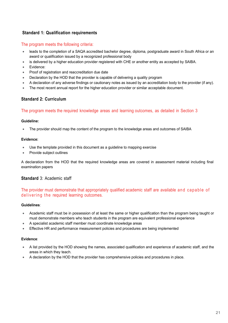## Standard 1: Qualification requirements

#### The program meets the following criteria:

- leads to the completion of a SAQA accredited bachelor degree, diploma, postgraduate award in South Africa or an award or qualification issued by a recognized professional body
- is delivered by a higher education provider registered with CHE or another entity as accepted by SAIBA.
- Evidence:
- Proof of registration and reaccreditation due date
- Declaration by the HOD that the provider is capable of delivering a quality program
- A declaration of any adverse findings or cautionary notes as issued by an accreditation body to the provider (if any).
- The most recent annual report for the higher education provider or similar acceptable document.

#### Standard 2: Curriculum

#### The program meets the required knowledge areas and learning outcomes, as detailed in Section 3

#### Guideline:

The provider should map the content of the program to the knowledge areas and outcomes of SAIBA

#### Evidence:

- Use the template provided in this document as a guideline to mapping exercise
- Provide subject outlines

A declaration from the HOD that the required knowledge areas are covered in assessment material including final examination papers

#### Standard 3: Academic staff

# The provider must demonstrate that appropriately qualified academic staff are available and capable of Standard 2: Curriculum<br>
The program meets the required knowledge areas and learning outcomes, as detailed in Section 3<br>
3<br>
Culdeline:<br>
• The provider should map the content of the program to the knowledge areas and outcome

#### Guidelines:

- Academic staff must be in possession of at least the same or higher qualification than the program being taught or must demonstrate members who teach students in the program are equivalent professional experience
- A specialist academic staff member must coordinate knowledge areas
- **Effective HR and performance measurement policies and procedures are being implemented**

#### Evidence:

- A list provided by the HOD showing the names, associated qualification and experience of academic staff, and the areas in which they teach.
- A declaration by the HOD that the provider has comprehensive policies and procedures in place.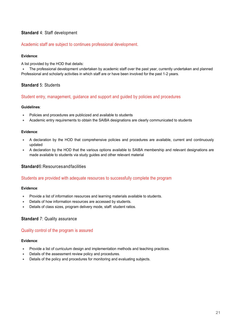## Standard 4: Staff development

#### Academic staff are subject to continues professional development.

#### Evidence:

A list provided by the HOD that details:

 The professional development undertaken by academic staff over the past year, currently undertaken and planned Professional and scholarly activities in which staff are or have been involved for the past 1-2 years.

#### Standard 5: Students

#### Student entry, management, guidance and support and guided by policies and procedures

#### Guidelines:

- Policies and procedures are publicized and available to students
- Academic entry requirements to obtain the SAIBA designations are clearly communicated to students

#### Evidence:

- A declaration by the HOD that comprehensive policies and procedures are available, current and continuously updated
- A declaration by the HOD that the various options available to SAIBA membership and relevant designations are made available to students via study guides and other relevant material

#### Standard 6: Resources and facilities

#### Students are provided with adequate resources to successfully complete the program

#### Evidence:

- Provide a list of information resources and learning materials available to students.
- Details of how information resources are accessed by students.
- Details of class sizes, program delivery mode, staff: student ratios.

#### Standard 7: Quality assurance

#### Quality control of the program is assured

#### Evidence:

- Provide a list of curriculum design and implementation methods and teaching practices.
- Details of the assessment review policy and procedures.
- Details of the policy and procedures for monitoring and evaluating subjects.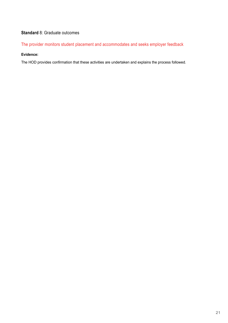## Standard 8: Graduate outcomes

The provider monitors student placement and accommodates and seeks employer feedback

#### Evidence:

The HOD provides confirmation that these activities are undertaken and explains the process followed.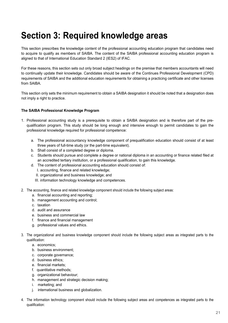# Section 3: Required knowledge areas

This section prescribes the knowledge content of the professional accounting education program that candidates need to acquire to qualify as members of SAIBA. The content of the SAIBA professional accounting education program is aligned to that of International Education Standard 2 (IES2) of IFAC.

For these reasons, this section sets out only broad subject headings on the premise that members accountants will need to continually update their knowledge. Candidates should be aware of the Continues Professional Development (CPD) requirements of SAIBA and the additional education requirements for obtaining a practicing certificate and other licenses from SAIBA.

This section only sets the minimum requirement to obtain a SAIBA designation it should be noted that a designation does not imply a right to practice.

#### The SAIBA Professional Knowledge Program

- 1. Professional accounting study is a prerequisite to obtain a SAIBA designation and is therefore part of the prequalification program. This study should be long enough and intensive enough to permit candidates to gain the professional knowledge required for professional competence:
	- a. The professional accountancy knowledge component of prequalification education should consist of at least three years of full-time study (or the part-time equivalent).
	- b. Shall consist of a completed degree or diploma.
	- c. Students should pursue and complete a degree or national diploma in an accounting or finance related filed at an accredited tertiary institution, or a professional qualification, to gain this knowledge.
	- d. The content of professional accounting education should consist of:
		- I. accounting, finance and related knowledge;
		- II. organizational and business knowledge; and
		- III. information technology knowledge and competences.
- 2. The accounting, finance and related knowledge component should include the following subject areas:
	- a. financial accounting and reporting;
	- b. management accounting and control;
	- c. taxation
	- d. audit and assurance
	- e. business and commercial law
	- f. finance and financial management
	- g. professional values and ethics.
- 3. The organizational and business knowledge component should include the following subject areas as integrated parts to the qualification:
	- a. economics;
	- b. business environment;
	- c. corporate governance;
	- d. business ethics;
	- e. financial markets;
	- f. quantitative methods;
	- g. organizational behaviour;
	- h. management and strategic decision making;
	- i. marketing; and
	- j. international business and globalization.
- 4. The information technology component should include the following subject areas and competences as integrated parts to the qualification: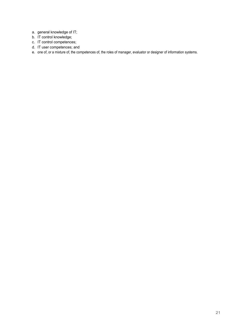- a. general knowledge of IT;
- b. IT control knowledge;
- c. IT control competences;
- d. IT user competences; and
- e. one of, or a mixture of, the competences of, the roles of manager, evaluator or designer of information systems.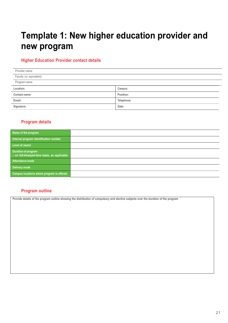# Template 1: New higher education provider and new program

## Higher Education Provider contact details

| Provider name:           |            |
|--------------------------|------------|
| Faculty (or equivalent): |            |
| Program name:            |            |
| Location:                | Campus:    |
| <b>Contact name:</b>     | Position:  |
| Email:                   | Telephone: |
| Signature:               | Date:      |

## Program details

| Name of the program                                                  |  |
|----------------------------------------------------------------------|--|
| Internal program identification number                               |  |
| Level of award                                                       |  |
| Duration of program<br>- on full-time/part-time basis, as applicable |  |
| Attendance mode                                                      |  |
| Delivery mode                                                        |  |
| Campus locations where program is offered                            |  |

## Program outline

Provide details of the program outline showing the distribution of compulsory and elective subjects over the duration of the program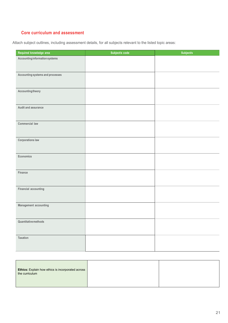# Core curriculum and assessment

Attach subject outlines, including assessment details, for all subjects relevant to the listed topic areas:

| Required knowledge area          | Subject/s code | Subject/s |
|----------------------------------|----------------|-----------|
| Accounting information systems   |                |           |
|                                  |                |           |
| Accounting systems and processes |                |           |
|                                  |                |           |
|                                  |                |           |
| Accounting theory                |                |           |
|                                  |                |           |
| Audit and assurance              |                |           |
|                                  |                |           |
| <b>Commercial law</b>            |                |           |
|                                  |                |           |
|                                  |                |           |
| <b>Corporations law</b>          |                |           |
|                                  |                |           |
| Economics                        |                |           |
|                                  |                |           |
| Finance                          |                |           |
|                                  |                |           |
|                                  |                |           |
| Financial accounting             |                |           |
|                                  |                |           |
| Management accounting            |                |           |
|                                  |                |           |
| Quantitative methods             |                |           |
|                                  |                |           |
|                                  |                |           |
| Taxation                         |                |           |
|                                  |                |           |

| <b>Ethics:</b> Explain how ethics is incorporated across<br>the curriculum |  |
|----------------------------------------------------------------------------|--|
|                                                                            |  |